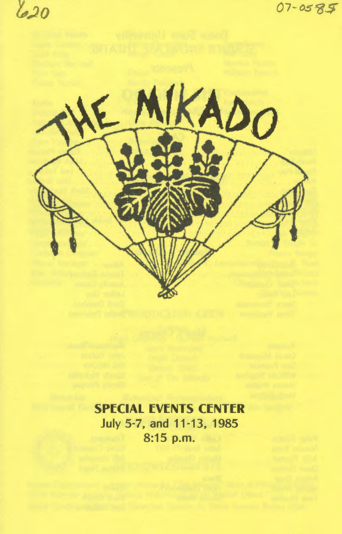$620$ 

07-0585



# SPECIAL EVENTS CENTER July 5-7, and 11-13,1985 8:15 p.m.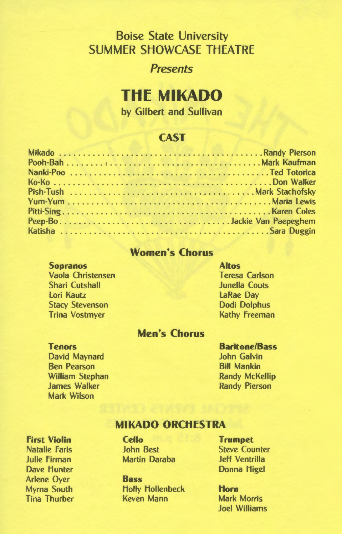# Boise State University SUMMER SHOWCASE THEATRE

### *Presents*

# **THf MIKADO**

by Gilbert and Sullivan

## **CAST**

### Women's Chorus

#### Sopranos

Vaola Christensen Shari Cutshall Lori Kautz Stacy Stevenson Trina Vostmyer

### Altos Teresa Carlson Junella Couts LaRae Day Dodi Dolphus Kathy Freeman

### Men's Chorus

#### Tenors

David Maynard Ben Pearson William Stephan James Walker Mark Wilson

### Baritone/Bass

John Galvin Bill Mankin Randy McKellip Randy Pierson

### MIKADO ORCHfSTRA

First Violin Natalie Faris Julie Firman Dave Hunter Arlene Oyer Myrna South Tina Thurber Cello John Best Martin Daraba

Bass Holly Hollenbeck Keven Mann

Trumpet Steve Counter Jeff Ventrilla Donna Higel

Horn Mark Morris Joel Williams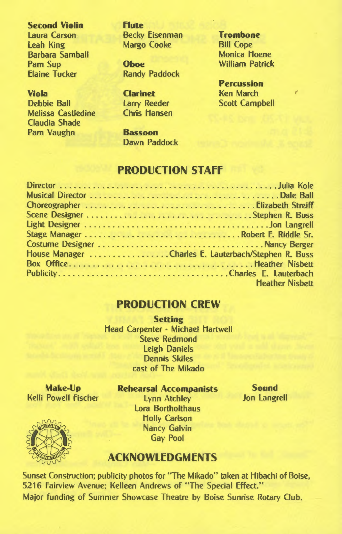#### **Second Violin Flute**

leah King Margo Cooke Bill Cope **Barbara Samball** Pam Sup **Oboe** William Patrick

Melissa Castledine Chris Hansen Claudia Shade Pam Vaughn **Bassoon** 

laura Carson Becky Eisenman **Trombone** 

**Randy Paddock** 

Dawn Paddock

**Percussion Viola Clarinet Ken March** Debbie Ball larry Reeder Scott Campbell

### **PRODUCTION STAff**

| Stage Manager Robert E. Riddle Sr.                  |
|-----------------------------------------------------|
|                                                     |
| House Manager Charles E. Lauterbach/Stephen R. Buss |
|                                                     |
|                                                     |
| <b>Heather Nisbett</b>                              |
|                                                     |

### **PRODUCTION CREW**

**Setting**  Head Carpenter - Michael Hartwell Steve Redmond leigh Daniels Dennis Skiles cast of The Mikado

**Make· Up**  Kelli Powell Fischer

**Rehearsal Accompanists** 

lynn Atchley lora Bortholthaus Holly Carlson Nancy Galvin Gay Pool

**Sound**  Jon langrell

## **ACKNOWLEDGMENTS**

Sunset Construction; publicity photos for "The Mikado" taken at Hibachi of Boise, 5216 Fairview Avenue; Kelleen Andrews of "The Special Effect." Major funding of Summer Showcase Theatre by Boise Sunrise Rotary Club.